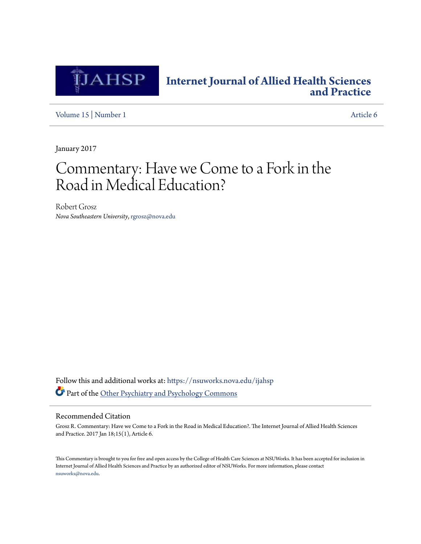

## **[Internet Journal of Allied Health Sciences](https://nsuworks.nova.edu/ijahsp?utm_source=nsuworks.nova.edu%2Fijahsp%2Fvol15%2Fiss1%2F6&utm_medium=PDF&utm_campaign=PDFCoverPages) [and Practice](https://nsuworks.nova.edu/ijahsp?utm_source=nsuworks.nova.edu%2Fijahsp%2Fvol15%2Fiss1%2F6&utm_medium=PDF&utm_campaign=PDFCoverPages)**

[Volume 15](https://nsuworks.nova.edu/ijahsp/vol15?utm_source=nsuworks.nova.edu%2Fijahsp%2Fvol15%2Fiss1%2F6&utm_medium=PDF&utm_campaign=PDFCoverPages) | [Number 1](https://nsuworks.nova.edu/ijahsp/vol15/iss1?utm_source=nsuworks.nova.edu%2Fijahsp%2Fvol15%2Fiss1%2F6&utm_medium=PDF&utm_campaign=PDFCoverPages) [Article 6](https://nsuworks.nova.edu/ijahsp/vol15/iss1/6?utm_source=nsuworks.nova.edu%2Fijahsp%2Fvol15%2Fiss1%2F6&utm_medium=PDF&utm_campaign=PDFCoverPages)

January 2017

# Commentary: Have we Come to a Fork in the Road in Medical Education?

Robert Grosz *Nova Southeastern University*, rgrosz@nova.edu

Follow this and additional works at: [https://nsuworks.nova.edu/ijahsp](https://nsuworks.nova.edu/ijahsp?utm_source=nsuworks.nova.edu%2Fijahsp%2Fvol15%2Fiss1%2F6&utm_medium=PDF&utm_campaign=PDFCoverPages) Part of the [Other Psychiatry and Psychology Commons](http://network.bepress.com/hgg/discipline/992?utm_source=nsuworks.nova.edu%2Fijahsp%2Fvol15%2Fiss1%2F6&utm_medium=PDF&utm_campaign=PDFCoverPages)

#### Recommended Citation

Grosz R. Commentary: Have we Come to a Fork in the Road in Medical Education?. The Internet Journal of Allied Health Sciences and Practice. 2017 Jan 18;15(1), Article 6.

This Commentary is brought to you for free and open access by the College of Health Care Sciences at NSUWorks. It has been accepted for inclusion in Internet Journal of Allied Health Sciences and Practice by an authorized editor of NSUWorks. For more information, please contact [nsuworks@nova.edu.](mailto:nsuworks@nova.edu)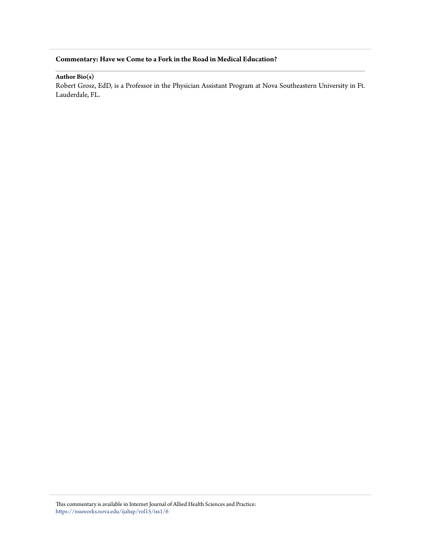### **Commentary: Have we Come to a Fork in the Road in Medical Education?**

**Author Bio(s)**

Robert Grosz, EdD, is a Professor in the Physician Assistant Program at Nova Southeastern University in Ft. Lauderdale, FL.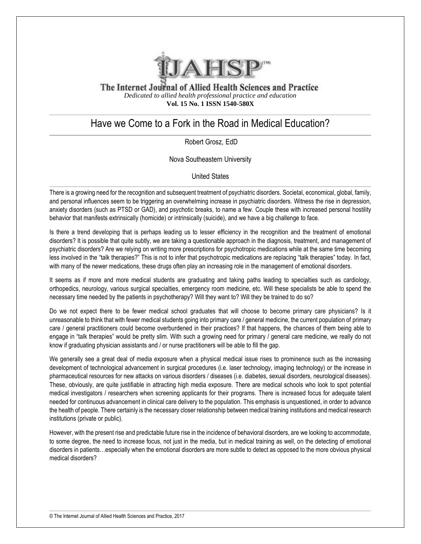

The Internet Journal of Allied Health Sciences and Practice *Dedicated to allied health professional practice and education* **Vol. 15 No. 1 ISSN 1540-580X**

## Have we Come to a Fork in the Road in Medical Education?

Robert Grosz, EdD

Nova Southeastern University

United States

There is a growing need for the recognition and subsequent treatment of psychiatric disorders. Societal, economical, global, family, and personal influences seem to be triggering an overwhelming increase in psychiatric disorders. Witness the rise in depression, anxiety disorders (such as PTSD or GAD), and psychotic breaks, to name a few. Couple these with increased personal hostility behavior that manifests extrinsically (homicide) or intrinsically (suicide), and we have a big challenge to face.

Is there a trend developing that is perhaps leading us to lesser efficiency in the recognition and the treatment of emotional disorders? It is possible that quite subtly, we are taking a questionable approach in the diagnosis, treatment, and management of psychiatric disorders? Are we relying on writing more prescriptions for psychotropic medications while at the same time becoming less involved in the "talk therapies?" This is not to infer that psychotropic medications are replacing "talk therapies" today. In fact, with many of the newer medications, these drugs often play an increasing role in the management of emotional disorders.

It seems as if more and more medical students are graduating and taking paths leading to specialties such as cardiology, orthopedics, neurology, various surgical specialties, emergency room medicine, etc. Will these specialists be able to spend the necessary time needed by the patients in psychotherapy? Will they want to? Will they be trained to do so?

Do we not expect there to be fewer medical school graduates that will choose to become primary care physicians? Is it unreasonable to think that with fewer medical students going into primary care / general medicine, the current population of primary care / general practitioners could become overburdened in their practices? If that happens, the chances of them being able to engage in "talk therapies" would be pretty slim. With such a growing need for primary / general care medicine, we really do not know if graduating physician assistants and / or nurse practitioners will be able to fill the gap.

We generally see a great deal of media exposure when a physical medical issue rises to prominence such as the increasing development of technological advancement in surgical procedures (i.e. laser technology, imaging technology) or the increase in pharmaceutical resources for new attacks on various disorders / diseases (i.e. diabetes, sexual disorders, neurological diseases). These, obviously, are quite justifiable in attracting high media exposure. There are medical schools who look to spot potential medical investigators / researchers when screening applicants for their programs. There is increased focus for adequate talent needed for continuous advancement in clinical care delivery to the population. This emphasis is unquestioned, in order to advance the health of people. There certainly is the necessary closer relationship between medical training institutions and medical research institutions (private or public).

However, with the present rise and predictable future rise in the incidence of behavioral disorders, are we looking to accommodate, to some degree, the need to increase focus, not just in the media, but in medical training as well, on the detecting of emotional disorders in patients…especially when the emotional disorders are more subtle to detect as opposed to the more obvious physical medical disorders?